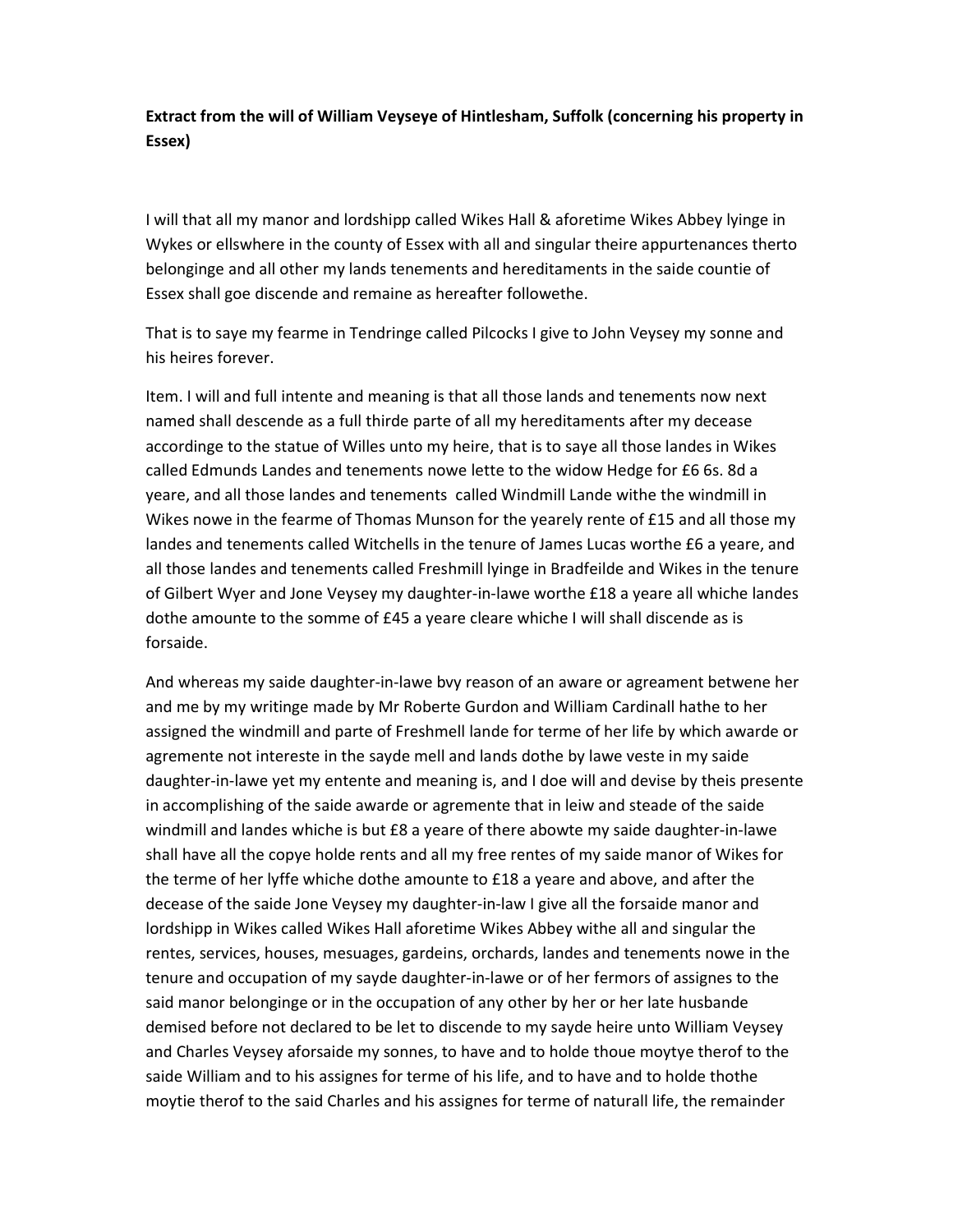## Extract from the will of William Veyseye of Hintlesham, Suffolk (concerning his property in Essex)

I will that all my manor and lordshipp called Wikes Hall & aforetime Wikes Abbey lyinge in Wykes or ellswhere in the county of Essex with all and singular theire appurtenances therto belonginge and all other my lands tenements and hereditaments in the saide countie of Essex shall goe discende and remaine as hereafter followethe.

That is to saye my fearme in Tendringe called Pilcocks I give to John Veysey my sonne and his heires forever.

Item. I will and full intente and meaning is that all those lands and tenements now next named shall descende as a full thirde parte of all my hereditaments after my decease accordinge to the statue of Willes unto my heire, that is to saye all those landes in Wikes called Edmunds Landes and tenements nowe lette to the widow Hedge for £6 6s. 8d a yeare, and all those landes and tenements called Windmill Lande withe the windmill in Wikes nowe in the fearme of Thomas Munson for the yearely rente of £15 and all those my landes and tenements called Witchells in the tenure of James Lucas worthe £6 a yeare, and all those landes and tenements called Freshmill lyinge in Bradfeilde and Wikes in the tenure of Gilbert Wyer and Jone Veysey my daughter-in-lawe worthe £18 a yeare all whiche landes dothe amounte to the somme of £45 a yeare cleare whiche I will shall discende as is forsaide.

And whereas my saide daughter-in-lawe bvy reason of an aware or agreament betwene her and me by my writinge made by Mr Roberte Gurdon and William Cardinall hathe to her assigned the windmill and parte of Freshmell lande for terme of her life by which awarde or agremente not intereste in the sayde mell and lands dothe by lawe veste in my saide daughter-in-lawe yet my entente and meaning is, and I doe will and devise by theis presente in accomplishing of the saide awarde or agremente that in leiw and steade of the saide windmill and landes whiche is but £8 a yeare of there abowte my saide daughter-in-lawe shall have all the copye holde rents and all my free rentes of my saide manor of Wikes for the terme of her lyffe whiche dothe amounte to £18 a yeare and above, and after the decease of the saide Jone Veysey my daughter-in-law I give all the forsaide manor and lordshipp in Wikes called Wikes Hall aforetime Wikes Abbey withe all and singular the rentes, services, houses, mesuages, gardeins, orchards, landes and tenements nowe in the tenure and occupation of my sayde daughter-in-lawe or of her fermors of assignes to the said manor belonginge or in the occupation of any other by her or her late husbande demised before not declared to be let to discende to my sayde heire unto William Veysey and Charles Veysey aforsaide my sonnes, to have and to holde thoue moytye therof to the saide William and to his assignes for terme of his life, and to have and to holde thothe moytie therof to the said Charles and his assignes for terme of naturall life, the remainder